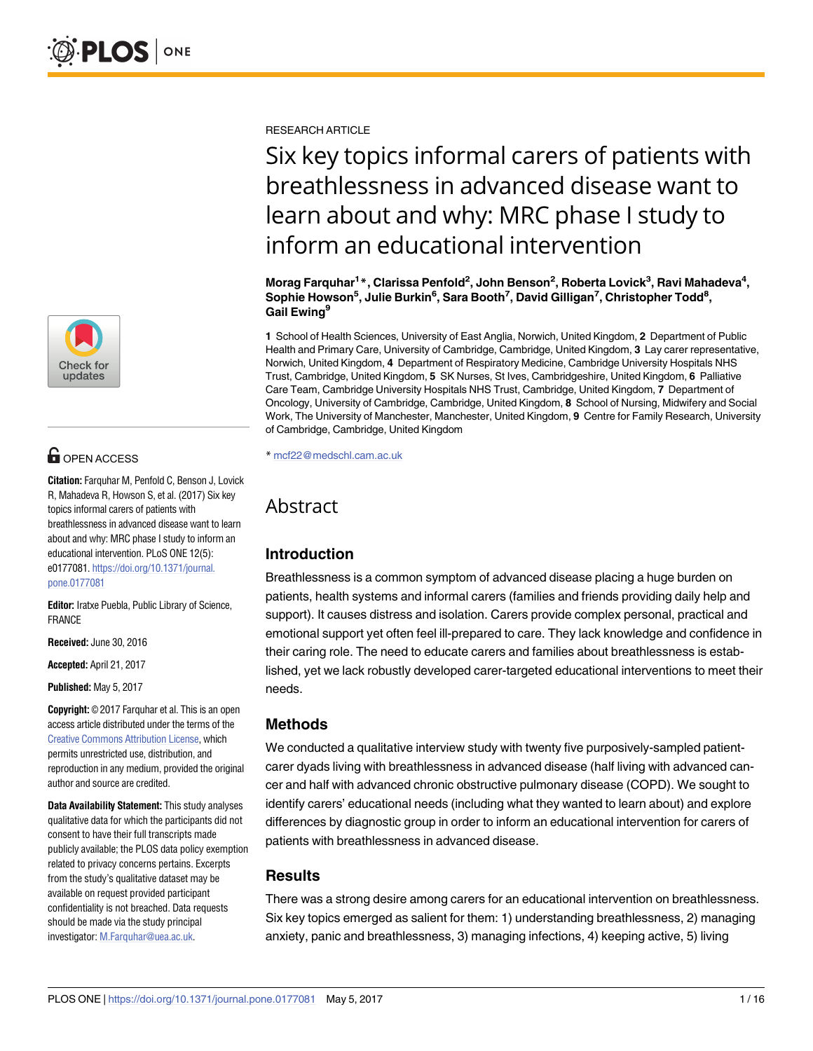

## **OPEN ACCESS**

**Citation:** Farquhar M, Penfold C, Benson J, Lovick R, Mahadeva R, Howson S, et al. (2017) Six key topics informal carers of patients with breathlessness in advanced disease want to learn about and why: MRC phase I study to inform an educational intervention. PLoS ONE 12(5): e0177081. [https://doi.org/10.1371/journal.](https://doi.org/10.1371/journal.pone.0177081) [pone.0177081](https://doi.org/10.1371/journal.pone.0177081)

**Editor:** Iratxe Puebla, Public Library of Science, FRANCE

**Received:** June 30, 2016

**Accepted:** April 21, 2017

**Published:** May 5, 2017

**Copyright:** © 2017 Farquhar et al. This is an open access article distributed under the terms of the Creative Commons [Attribution](http://creativecommons.org/licenses/by/4.0/) License, which permits unrestricted use, distribution, and reproduction in any medium, provided the original author and source are credited.

**Data Availability Statement:** This study analyses qualitative data for which the participants did not consent to have their full transcripts made publicly available; the PLOS data policy exemption related to privacy concerns pertains. Excerpts from the study's qualitative dataset may be available on request provided participant confidentiality is not breached. Data requests should be made via the study principal investigator: [M.Farquhar@uea.ac.uk](mailto:M.Farquhar@uea.ac.uk).

RESEARCH ARTICLE

# Six key topics informal carers of patients with breathlessness in advanced disease want to learn about and why: MRC phase I study to inform an educational intervention

 $M$ orag Farquhar $^{1*}$ , Clarissa Penfold<sup>2</sup>, John Benson<sup>2</sup>, Roberta Lovick $^{3}$ , Ravi Mahadeva $^{4}$ ,  $\boldsymbol{\delta}$ Sophie Howson $^5$ , Julie Burkin $^6$ , Sara Booth<sup>7</sup>, David Gilligan<sup>7</sup>, Christopher Todd $^8$ , **Gail Ewing9**

**1** School of Health Sciences, University of East Anglia, Norwich, United Kingdom, **2** Department of Public Health and Primary Care, University of Cambridge, Cambridge, United Kingdom, **3** Lay carer representative, Norwich, United Kingdom, **4** Department of Respiratory Medicine, Cambridge University Hospitals NHS Trust, Cambridge, United Kingdom, **5** SK Nurses, St Ives, Cambridgeshire, United Kingdom, **6** Palliative Care Team, Cambridge University Hospitals NHS Trust, Cambridge, United Kingdom, **7** Department of Oncology, University of Cambridge, Cambridge, United Kingdom, **8** School of Nursing, Midwifery and Social Work, The University of Manchester, Manchester, United Kingdom, **9** Centre for Family Research, University of Cambridge, Cambridge, United Kingdom

\* mcf22@medschl.cam.ac.uk

## Abstract

## **Introduction**

Breathlessness is a common symptom of advanced disease placing a huge burden on patients, health systems and informal carers (families and friends providing daily help and support). It causes distress and isolation. Carers provide complex personal, practical and emotional support yet often feel ill-prepared to care. They lack knowledge and confidence in their caring role. The need to educate carers and families about breathlessness is established, yet we lack robustly developed carer-targeted educational interventions to meet their needs.

## **Methods**

We conducted a qualitative interview study with twenty five purposively-sampled patientcarer dyads living with breathlessness in advanced disease (half living with advanced cancer and half with advanced chronic obstructive pulmonary disease (COPD). We sought to identify carers' educational needs (including what they wanted to learn about) and explore differences by diagnostic group in order to inform an educational intervention for carers of patients with breathlessness in advanced disease.

## **Results**

There was a strong desire among carers for an educational intervention on breathlessness. Six key topics emerged as salient for them: 1) understanding breathlessness, 2) managing anxiety, panic and breathlessness, 3) managing infections, 4) keeping active, 5) living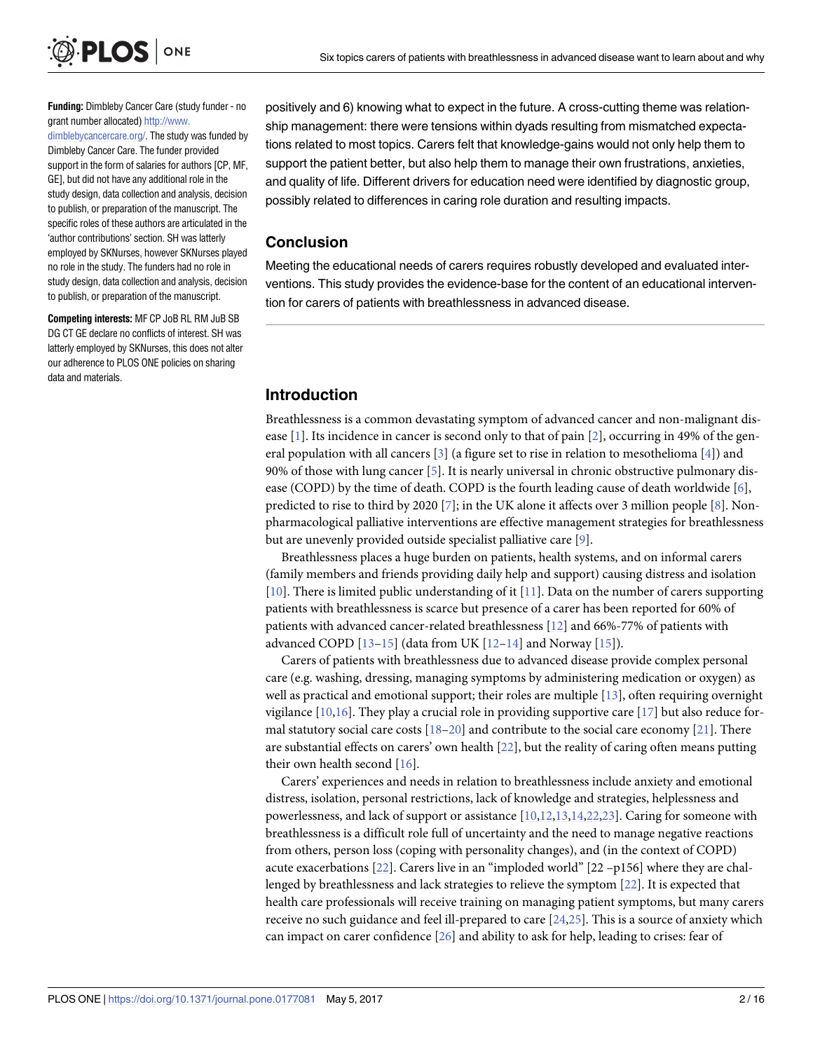<span id="page-1-0"></span>

**Funding:** Dimbleby Cancer Care (study funder - no grant number allocated) [http://www.](http://www.dimblebycancercare.org/)

[dimblebycancercare.org/](http://www.dimblebycancercare.org/). The study was funded by Dimbleby Cancer Care. The funder provided support in the form of salaries for authors [CP, MF, GE], but did not have any additional role in the study design, data collection and analysis, decision to publish, or preparation of the manuscript. The specific roles of these authors are articulated in the 'author contributions' section. SH was latterly employed by SKNurses, however SKNurses played no role in the study. The funders had no role in study design, data collection and analysis, decision to publish, or preparation of the manuscript.

**Competing interests:** MF CP JoB RL RM JuB SB DG CT GE declare no conflicts of interest. SH was latterly employed by SKNurses, this does not alter our adherence to PLOS ONE policies on sharing data and materials.

positively and 6) knowing what to expect in the future. A cross-cutting theme was relationship management: there were tensions within dyads resulting from mismatched expectations related to most topics. Carers felt that knowledge-gains would not only help them to support the patient better, but also help them to manage their own frustrations, anxieties, and quality of life. Different drivers for education need were identified by diagnostic group, possibly related to differences in caring role duration and resulting impacts.

#### **Conclusion**

Meeting the educational needs of carers requires robustly developed and evaluated interventions. This study provides the evidence-base for the content of an educational intervention for carers of patients with breathlessness in advanced disease.

## **Introduction**

Breathlessness is a common devastating symptom of advanced cancer and non-malignant disease [\[1\]](#page-12-0). Its incidence in cancer is second only to that of pain [\[2\]](#page-12-0), occurring in 49% of the general population with all cancers [[3](#page-12-0)] (a figure set to rise in relation to mesothelioma [\[4\]](#page-12-0)) and 90% of those with lung cancer [[5](#page-12-0)]. It is nearly universal in chronic obstructive pulmonary disease (COPD) by the time of death. COPD is the fourth leading cause of death worldwide [[6](#page-12-0)], predicted to rise to third by 2020 [[7](#page-12-0)]; in the UK alone it affects over 3 million people [\[8](#page-12-0)]. Nonpharmacological palliative interventions are effective management strategies for breathlessness but are unevenly provided outside specialist palliative care [\[9](#page-12-0)].

Breathlessness places a huge burden on patients, health systems, and on informal carers (family members and friends providing daily help and support) causing distress and isolation [\[10\]](#page-12-0). There is limited public understanding of it [[11](#page-12-0)]. Data on the number of carers supporting patients with breathlessness is scarce but presence of a carer has been reported for 60% of patients with advanced cancer-related breathlessness [[12](#page-12-0)] and 66%-77% of patients with advanced COPD [[13](#page-12-0)[–15\]](#page-13-0) (data from UK [[12–14\]](#page-12-0) and Norway [\[15\]](#page-13-0)).

Carers of patients with breathlessness due to advanced disease provide complex personal care (e.g. washing, dressing, managing symptoms by administering medication or oxygen) as well as practical and emotional support; their roles are multiple [\[13\]](#page-12-0), often requiring overnight vigilance  $[10,16]$  $[10,16]$  $[10,16]$  $[10,16]$  $[10,16]$ . They play a crucial role in providing supportive care  $[17]$  but also reduce formal statutory social care costs  $[18–20]$  and contribute to the social care economy  $[21]$ . There are substantial effects on carers' own health [[22](#page-13-0)], but the reality of caring often means putting their own health second [\[16](#page-13-0)].

Carers' experiences and needs in relation to breathlessness include anxiety and emotional distress, isolation, personal restrictions, lack of knowledge and strategies, helplessness and powerlessness, and lack of support or assistance [[10](#page-12-0),[12,13,14,](#page-12-0)[22](#page-13-0),[23](#page-13-0)]. Caring for someone with breathlessness is a difficult role full of uncertainty and the need to manage negative reactions from others, person loss (coping with personality changes), and (in the context of COPD) acute exacerbations [[22](#page-13-0)]. Carers live in an "imploded world" [22 –p156] where they are challenged by breathlessness and lack strategies to relieve the symptom [\[22\]](#page-13-0). It is expected that health care professionals will receive training on managing patient symptoms, but many carers receive no such guidance and feel ill-prepared to care [[24,25\]](#page-13-0). This is a source of anxiety which can impact on carer confidence [[26](#page-13-0)] and ability to ask for help, leading to crises: fear of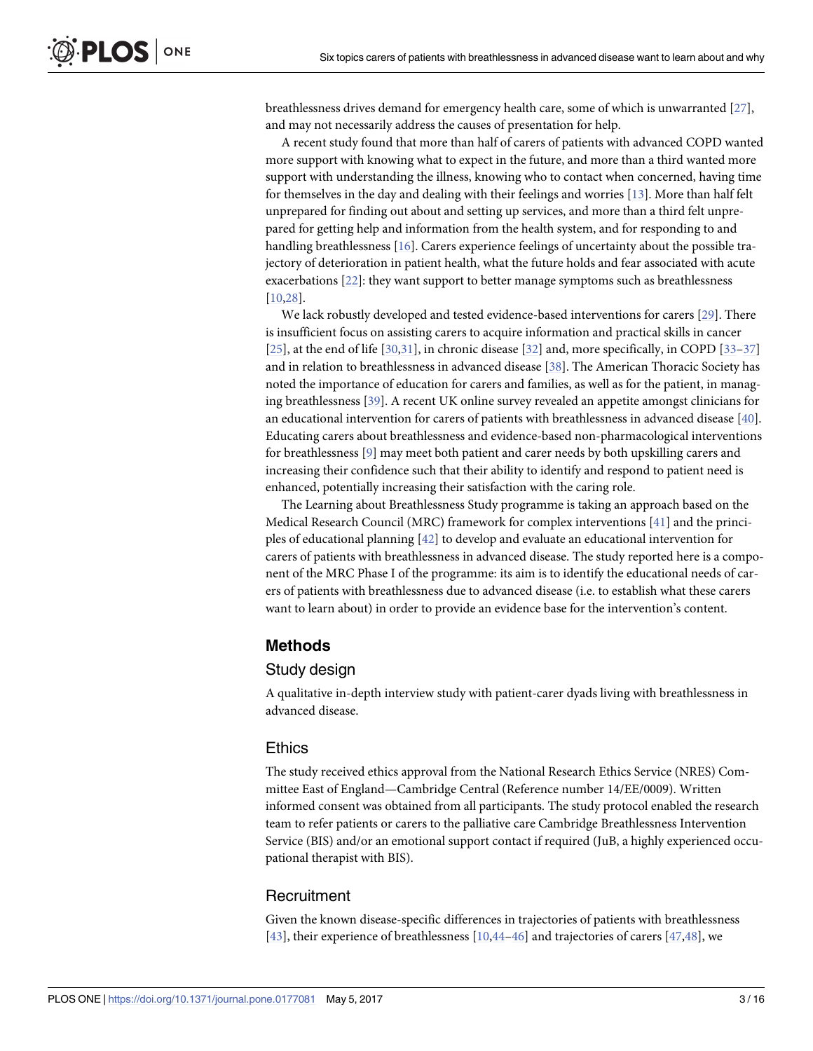<span id="page-2-0"></span>breathlessness drives demand for emergency health care, some of which is unwarranted [\[27\]](#page-13-0), and may not necessarily address the causes of presentation for help.

A recent study found that more than half of carers of patients with advanced COPD wanted more support with knowing what to expect in the future, and more than a third wanted more support with understanding the illness, knowing who to contact when concerned, having time for themselves in the day and dealing with their feelings and worries [[13](#page-12-0)]. More than half felt unprepared for finding out about and setting up services, and more than a third felt unprepared for getting help and information from the health system, and for responding to and handling breathlessness [[16](#page-13-0)]. Carers experience feelings of uncertainty about the possible trajectory of deterioration in patient health, what the future holds and fear associated with acute exacerbations [\[22\]](#page-13-0): they want support to better manage symptoms such as breathlessness [\[10](#page-12-0)[,28\]](#page-13-0).

We lack robustly developed and tested evidence-based interventions for carers [[29](#page-13-0)]. There is insufficient focus on assisting carers to acquire information and practical skills in cancer [\[25\]](#page-13-0), at the end of life [\[30,31](#page-13-0)], in chronic disease [\[32\]](#page-13-0) and, more specifically, in COPD [\[33–](#page-13-0)[37](#page-14-0)] and in relation to breathlessness in advanced disease [[38](#page-14-0)]. The American Thoracic Society has noted the importance of education for carers and families, as well as for the patient, in managing breathlessness [\[39\]](#page-14-0). A recent UK online survey revealed an appetite amongst clinicians for an educational intervention for carers of patients with breathlessness in advanced disease [[40](#page-14-0)]. Educating carers about breathlessness and evidence-based non-pharmacological interventions for breathlessness [[9\]](#page-12-0) may meet both patient and carer needs by both upskilling carers and increasing their confidence such that their ability to identify and respond to patient need is enhanced, potentially increasing their satisfaction with the caring role.

The Learning about Breathlessness Study programme is taking an approach based on the Medical Research Council (MRC) framework for complex interventions [\[41\]](#page-14-0) and the principles of educational planning [[42](#page-14-0)] to develop and evaluate an educational intervention for carers of patients with breathlessness in advanced disease. The study reported here is a component of the MRC Phase I of the programme: its aim is to identify the educational needs of carers of patients with breathlessness due to advanced disease (i.e. to establish what these carers want to learn about) in order to provide an evidence base for the intervention's content.

## **Methods**

#### Study design

A qualitative in-depth interview study with patient-carer dyads living with breathlessness in advanced disease.

#### **Ethics**

The study received ethics approval from the National Research Ethics Service (NRES) Committee East of England—Cambridge Central (Reference number 14/EE/0009). Written informed consent was obtained from all participants. The study protocol enabled the research team to refer patients or carers to the palliative care Cambridge Breathlessness Intervention Service (BIS) and/or an emotional support contact if required (JuB, a highly experienced occupational therapist with BIS).

#### **Recruitment**

Given the known disease-specific differences in trajectories of patients with breathlessness [\[43\]](#page-14-0), their experience of breathlessness [\[10,](#page-12-0)[44](#page-14-0)–[46](#page-14-0)] and trajectories of carers [\[47,48](#page-14-0)], we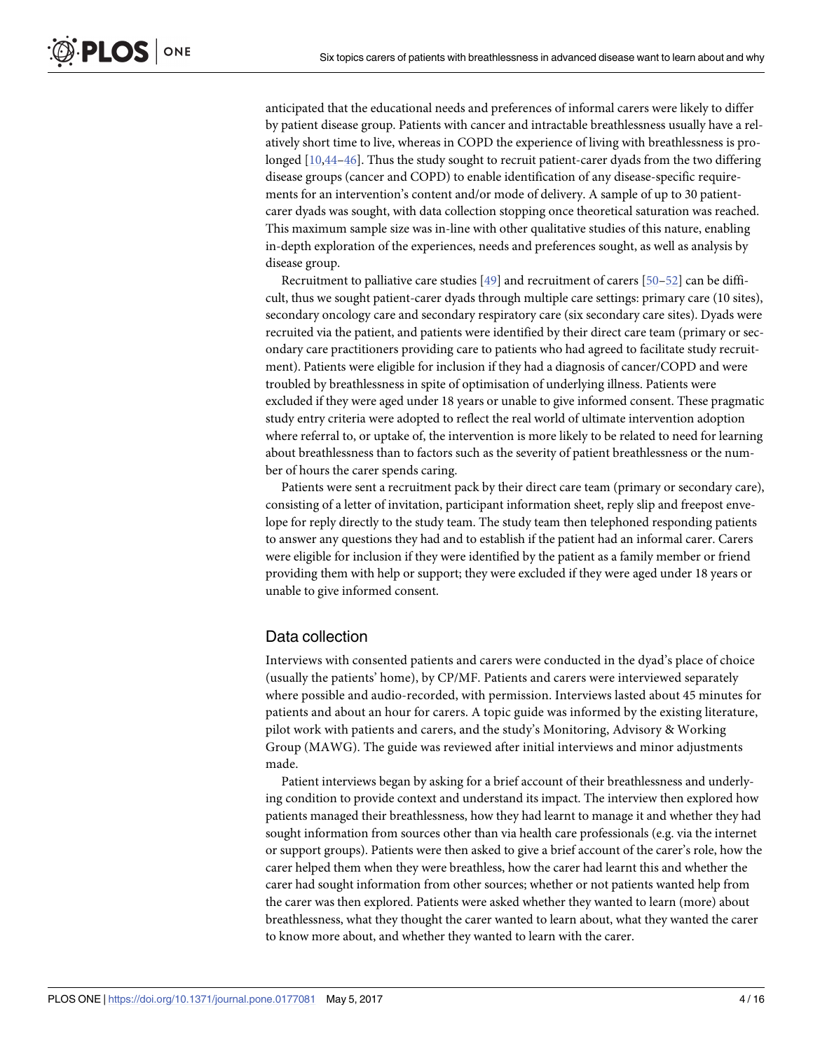<span id="page-3-0"></span>anticipated that the educational needs and preferences of informal carers were likely to differ by patient disease group. Patients with cancer and intractable breathlessness usually have a relatively short time to live, whereas in COPD the experience of living with breathlessness is prolonged [[10](#page-12-0),[44–46\]](#page-14-0). Thus the study sought to recruit patient-carer dyads from the two differing disease groups (cancer and COPD) to enable identification of any disease-specific requirements for an intervention's content and/or mode of delivery. A sample of up to 30 patientcarer dyads was sought, with data collection stopping once theoretical saturation was reached. This maximum sample size was in-line with other qualitative studies of this nature, enabling in-depth exploration of the experiences, needs and preferences sought, as well as analysis by disease group.

Recruitment to palliative care studies [[49](#page-14-0)] and recruitment of carers [[50–52\]](#page-14-0) can be difficult, thus we sought patient-carer dyads through multiple care settings: primary care (10 sites), secondary oncology care and secondary respiratory care (six secondary care sites). Dyads were recruited via the patient, and patients were identified by their direct care team (primary or secondary care practitioners providing care to patients who had agreed to facilitate study recruitment). Patients were eligible for inclusion if they had a diagnosis of cancer/COPD and were troubled by breathlessness in spite of optimisation of underlying illness. Patients were excluded if they were aged under 18 years or unable to give informed consent. These pragmatic study entry criteria were adopted to reflect the real world of ultimate intervention adoption where referral to, or uptake of, the intervention is more likely to be related to need for learning about breathlessness than to factors such as the severity of patient breathlessness or the number of hours the carer spends caring.

Patients were sent a recruitment pack by their direct care team (primary or secondary care), consisting of a letter of invitation, participant information sheet, reply slip and freepost envelope for reply directly to the study team. The study team then telephoned responding patients to answer any questions they had and to establish if the patient had an informal carer. Carers were eligible for inclusion if they were identified by the patient as a family member or friend providing them with help or support; they were excluded if they were aged under 18 years or unable to give informed consent.

#### Data collection

Interviews with consented patients and carers were conducted in the dyad's place of choice (usually the patients' home), by CP/MF. Patients and carers were interviewed separately where possible and audio-recorded, with permission. Interviews lasted about 45 minutes for patients and about an hour for carers. A topic guide was informed by the existing literature, pilot work with patients and carers, and the study's Monitoring, Advisory & Working Group (MAWG). The guide was reviewed after initial interviews and minor adjustments made.

Patient interviews began by asking for a brief account of their breathlessness and underlying condition to provide context and understand its impact. The interview then explored how patients managed their breathlessness, how they had learnt to manage it and whether they had sought information from sources other than via health care professionals (e.g. via the internet or support groups). Patients were then asked to give a brief account of the carer's role, how the carer helped them when they were breathless, how the carer had learnt this and whether the carer had sought information from other sources; whether or not patients wanted help from the carer was then explored. Patients were asked whether they wanted to learn (more) about breathlessness, what they thought the carer wanted to learn about, what they wanted the carer to know more about, and whether they wanted to learn with the carer.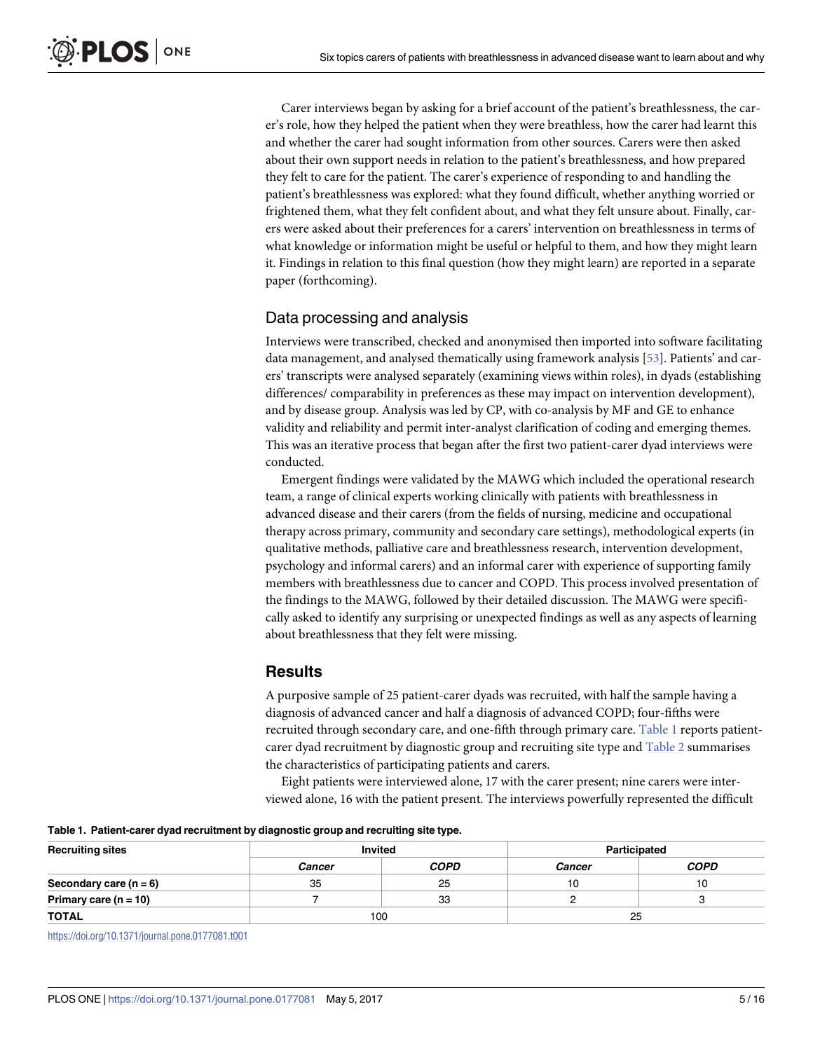<span id="page-4-0"></span>Carer interviews began by asking for a brief account of the patient's breathlessness, the carer's role, how they helped the patient when they were breathless, how the carer had learnt this and whether the carer had sought information from other sources. Carers were then asked about their own support needs in relation to the patient's breathlessness, and how prepared they felt to care for the patient. The carer's experience of responding to and handling the patient's breathlessness was explored: what they found difficult, whether anything worried or frightened them, what they felt confident about, and what they felt unsure about. Finally, carers were asked about their preferences for a carers' intervention on breathlessness in terms of what knowledge or information might be useful or helpful to them, and how they might learn it. Findings in relation to this final question (how they might learn) are reported in a separate paper (forthcoming).

## Data processing and analysis

Interviews were transcribed, checked and anonymised then imported into software facilitating data management, and analysed thematically using framework analysis [\[53\]](#page-14-0). Patients' and carers' transcripts were analysed separately (examining views within roles), in dyads (establishing differences/ comparability in preferences as these may impact on intervention development), and by disease group. Analysis was led by CP, with co-analysis by MF and GE to enhance validity and reliability and permit inter-analyst clarification of coding and emerging themes. This was an iterative process that began after the first two patient-carer dyad interviews were conducted.

Emergent findings were validated by the MAWG which included the operational research team, a range of clinical experts working clinically with patients with breathlessness in advanced disease and their carers (from the fields of nursing, medicine and occupational therapy across primary, community and secondary care settings), methodological experts (in qualitative methods, palliative care and breathlessness research, intervention development, psychology and informal carers) and an informal carer with experience of supporting family members with breathlessness due to cancer and COPD. This process involved presentation of the findings to the MAWG, followed by their detailed discussion. The MAWG were specifically asked to identify any surprising or unexpected findings as well as any aspects of learning about breathlessness that they felt were missing.

## **Results**

A purposive sample of 25 patient-carer dyads was recruited, with half the sample having a diagnosis of advanced cancer and half a diagnosis of advanced COPD; four-fifths were recruited through secondary care, and one-fifth through primary care. Table 1 reports patientcarer dyad recruitment by diagnostic group and recruiting site type and [Table](#page-5-0) 2 summarises the characteristics of participating patients and carers.

Eight patients were interviewed alone, 17 with the carer present; nine carers were interviewed alone, 16 with the patient present. The interviews powerfully represented the difficult

|  |  |  |  | Table 1. Patient-carer dyad recruitment by diagnostic group and recruiting site type. |
|--|--|--|--|---------------------------------------------------------------------------------------|
|--|--|--|--|---------------------------------------------------------------------------------------|

| <b>Recruiting sites</b>  | Invited |             | Participated |             |  |
|--------------------------|---------|-------------|--------------|-------------|--|
|                          | Cancer  | <b>COPD</b> | Cancer       | <b>COPD</b> |  |
| Secondary care $(n = 6)$ | 35      | 25          | 10           | 10          |  |
| Primary care $(n = 10)$  |         | 33          |              |             |  |
| <b>TOTAL</b>             |         | 100         |              | 25          |  |

<https://doi.org/10.1371/journal.pone.0177081.t001>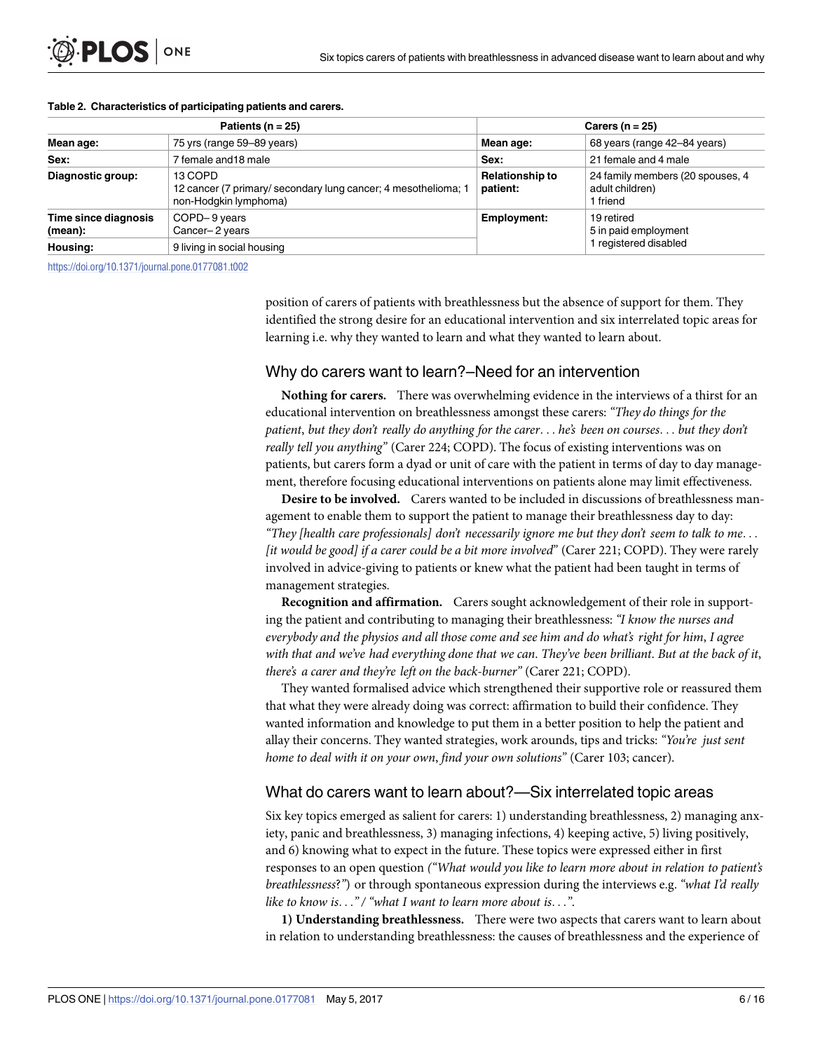<span id="page-5-0"></span>

|                                 | Patients ( $n = 25$ )                                                                             | Carers ( $n = 25$ )                |                                                                 |  |
|---------------------------------|---------------------------------------------------------------------------------------------------|------------------------------------|-----------------------------------------------------------------|--|
| Mean age:                       | 75 yrs (range 59–89 years)                                                                        | Mean age:                          | 68 years (range 42–84 years)                                    |  |
| Sex:                            | 7 female and 18 male                                                                              | Sex:                               | 21 female and 4 male                                            |  |
| Diagnostic group:               | 13 COPD<br>12 cancer (7 primary/secondary lung cancer; 4 mesothelioma; 1<br>non-Hodgkin lymphoma) | <b>Relationship to</b><br>patient: | 24 family members (20 spouses, 4<br>adult children)<br>1 friend |  |
| Time since diagnosis<br>(mean): | COPD-9 years<br>Cancer-2 years                                                                    | <b>Employment:</b>                 | 19 retired<br>5 in paid employment                              |  |
| Housing:                        | 9 living in social housing                                                                        |                                    | 1 registered disabled                                           |  |

<https://doi.org/10.1371/journal.pone.0177081.t002>

position of carers of patients with breathlessness but the absence of support for them. They identified the strong desire for an educational intervention and six interrelated topic areas for learning i.e. why they wanted to learn and what they wanted to learn about.

#### Why do carers want to learn?–Need for an intervention

**Nothing for carers.** There was overwhelming evidence in the interviews of a thirst for an educational intervention on breathlessness amongst these carers: *"They do things for the patient*, *but they don't really do anything for the carer*. . . *he's been on courses*. . . *but they don't really tell you anything"* (Carer 224; COPD). The focus of existing interventions was on patients, but carers form a dyad or unit of care with the patient in terms of day to day management, therefore focusing educational interventions on patients alone may limit effectiveness.

**Desire to be involved.** Carers wanted to be included in discussions of breathlessness management to enable them to support the patient to manage their breathlessness day to day: *"They [health care professionals] don't necessarily ignore me but they don't seem to talk to me*. . . *[it would be good] if a carer could be a bit more involved"* (Carer 221; COPD). They were rarely involved in advice-giving to patients or knew what the patient had been taught in terms of management strategies.

**Recognition and affirmation.** Carers sought acknowledgement of their role in supporting the patient and contributing to managing their breathlessness: *"I know the nurses and* everybody and the physios and all those come and see him and do what's right for him, I agree with that and we've had everything done that we can. They've been brilliant. But at the back of it, *there's a carer and they're left on the back-burner"* (Carer 221; COPD).

They wanted formalised advice which strengthened their supportive role or reassured them that what they were already doing was correct: affirmation to build their confidence. They wanted information and knowledge to put them in a better position to help the patient and allay their concerns. They wanted strategies, work arounds, tips and tricks: *"You're just sent home to deal with it on your own*, *find your own solutions"* (Carer 103; cancer).

## What do carers want to learn about?—Six interrelated topic areas

Six key topics emerged as salient for carers: 1) understanding breathlessness, 2) managing anxiety, panic and breathlessness, 3) managing infections, 4) keeping active, 5) living positively, and 6) knowing what to expect in the future. These topics were expressed either in first responses to an open question *("What would you like to learn more about in relation to patient's breathlessness*?*"*) or through spontaneous expression during the interviews e.g. *"what I'd really like to know is*. . .*" / "what I want to learn more about is*. . .*"*.

**1) Understanding breathlessness.** There were two aspects that carers want to learn about in relation to understanding breathlessness: the causes of breathlessness and the experience of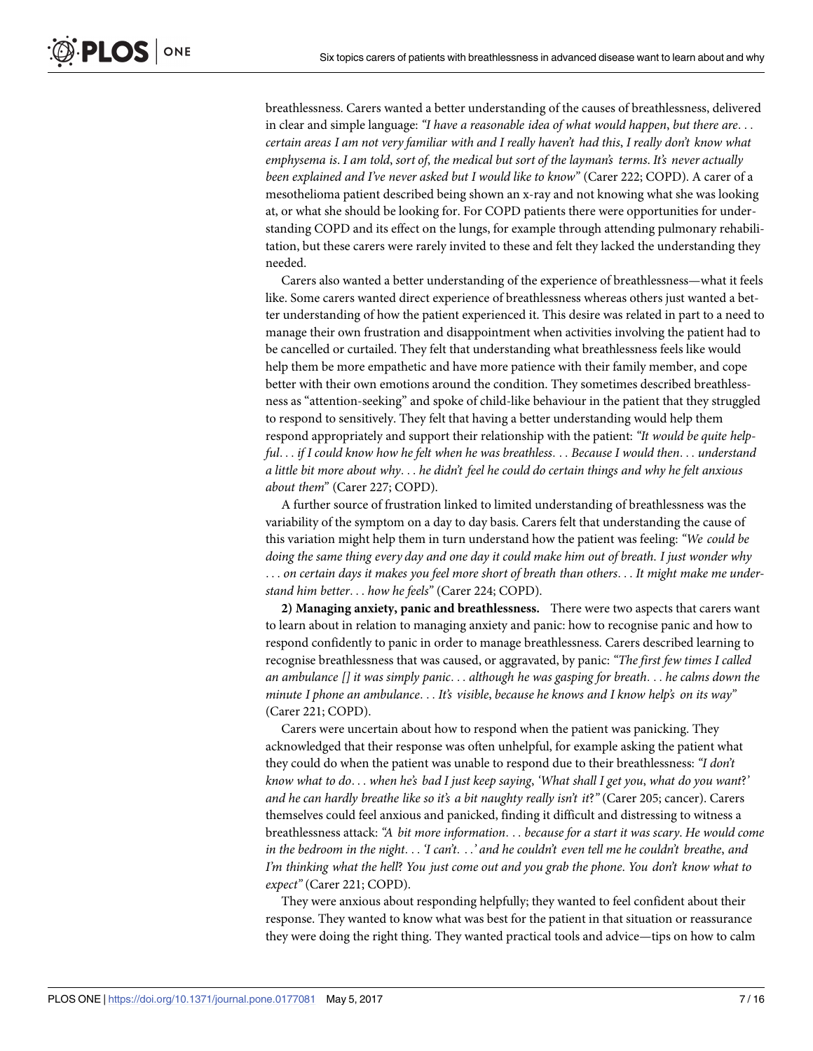breathlessness. Carers wanted a better understanding of the causes of breathlessness, delivered in clear and simple language: *"I have a reasonable idea of what would happen*, *but there are*. . . certain areas I am not very familiar with and I really haven't had this, I really don't know what *emphysema is*. *I am told*, *sort of*, *the medical but sort of the layman's terms*. *It's never actually been explained and I've never asked but I would like to know"* (Carer 222; COPD). A carer of a mesothelioma patient described being shown an x-ray and not knowing what she was looking at, or what she should be looking for. For COPD patients there were opportunities for understanding COPD and its effect on the lungs, for example through attending pulmonary rehabilitation, but these carers were rarely invited to these and felt they lacked the understanding they needed.

Carers also wanted a better understanding of the experience of breathlessness—what it feels like. Some carers wanted direct experience of breathlessness whereas others just wanted a better understanding of how the patient experienced it. This desire was related in part to a need to manage their own frustration and disappointment when activities involving the patient had to be cancelled or curtailed. They felt that understanding what breathlessness feels like would help them be more empathetic and have more patience with their family member, and cope better with their own emotions around the condition. They sometimes described breathlessness as "attention-seeking" and spoke of child-like behaviour in the patient that they struggled to respond to sensitively. They felt that having a better understanding would help them respond appropriately and support their relationship with the patient: *"It would be quite helpful*. . . *if I could know how he felt when he was breathless*. . . *Because I would then*. . . *understand* a little bit more about why... he didn't feel he could do certain things and why he felt anxious *about them"* (Carer 227; COPD).

A further source of frustration linked to limited understanding of breathlessness was the variability of the symptom on a day to day basis. Carers felt that understanding the cause of this variation might help them in turn understand how the patient was feeling: *"We could be* doing the same thing every day and one day it could make him out of breath. I just wonder why ... on certain days it makes you feel more short of breath than others... It might make me under*stand him better*. . . *how he feels"* (Carer 224; COPD).

**2) Managing anxiety, panic and breathlessness.** There were two aspects that carers want to learn about in relation to managing anxiety and panic: how to recognise panic and how to respond confidently to panic in order to manage breathlessness. Carers described learning to recognise breathlessness that was caused, or aggravated, by panic: *"The first few times I called an ambulance [] it was simply panic*. . . *although he was gasping for breath*. . . *he calms down the minute I phone an ambulance*. . . *It's visible*, *because he knows and I know help's on its way"* (Carer 221; COPD).

Carers were uncertain about how to respond when the patient was panicking. They acknowledged that their response was often unhelpful, for example asking the patient what they could do when the patient was unable to respond due to their breathlessness: *"I don't* know what to do... when he's bad I just keep saying, 'What shall I get you, what do you want?' *and he can hardly breathe like so it's a bit naughty really isn't it*?*"* (Carer 205; cancer). Carers themselves could feel anxious and panicked, finding it difficult and distressing to witness a breathlessness attack: *"A bit more information*. . . *because for a start it was scary*. *He would come* in the bedroom in the night...  $T can't$ ...' and he couldn't even tell me he couldn't breathe, and I'm thinking what the hell? You just come out and you grab the phone. You don't know what to *expect"* (Carer 221; COPD).

They were anxious about responding helpfully; they wanted to feel confident about their response. They wanted to know what was best for the patient in that situation or reassurance they were doing the right thing. They wanted practical tools and advice—tips on how to calm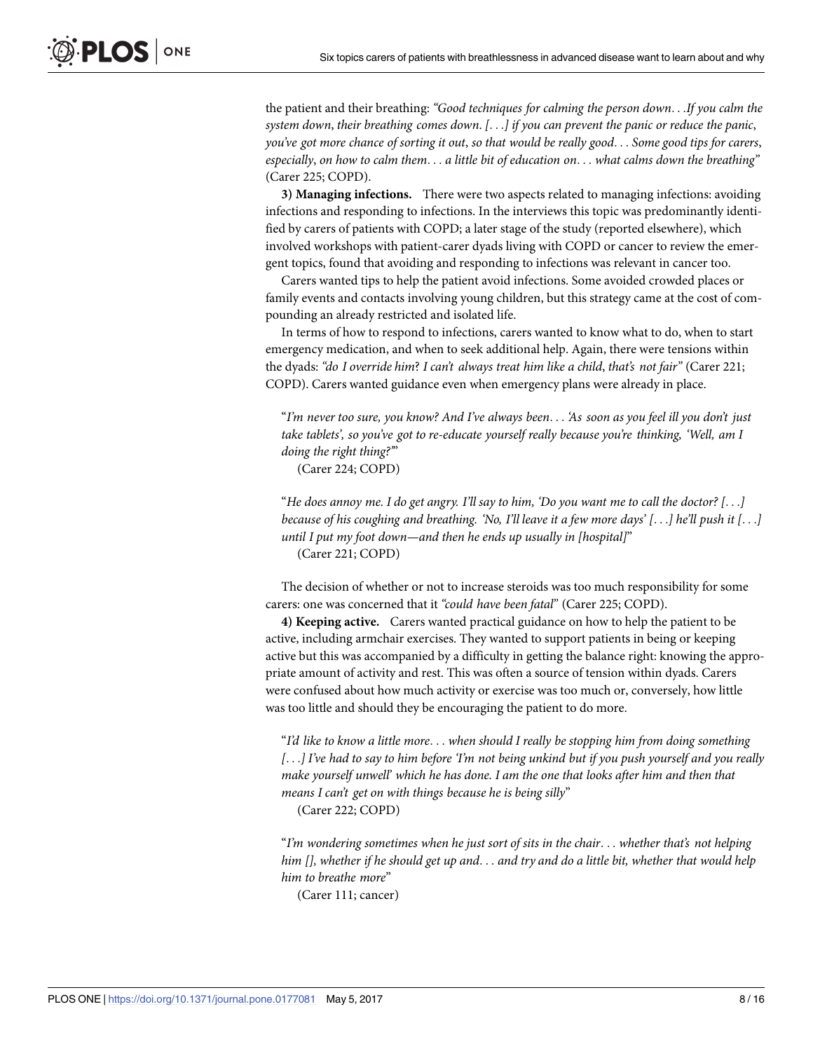the patient and their breathing: *"Good techniques for calming the person down*. . .*If you calm the system down*, *their breathing comes down*. *[*. . .*] if you can prevent the panic or reduce the panic*, you've got more chance of sorting it out, so that would be really good... Some good tips for carers, *especially*, *on how to calm them*. . . *a little bit of education on*. . . *what calms down the breathing"* (Carer 225; COPD).

**3) Managing infections.** There were two aspects related to managing infections: avoiding infections and responding to infections. In the interviews this topic was predominantly identified by carers of patients with COPD; a later stage of the study (reported elsewhere), which involved workshops with patient-carer dyads living with COPD or cancer to review the emergent topics, found that avoiding and responding to infections was relevant in cancer too.

Carers wanted tips to help the patient avoid infections. Some avoided crowded places or family events and contacts involving young children, but this strategy came at the cost of compounding an already restricted and isolated life.

In terms of how to respond to infections, carers wanted to know what to do, when to start emergency medication, and when to seek additional help. Again, there were tensions within the dyads: *"do I override him*? *I can't always treat him like a child*, *that's not fair"* (Carer 221; COPD). Carers wanted guidance even when emergency plans were already in place.

"I'm never too sure, you know? And I've always been... 'As soon as you feel ill you don't just *take tablets', so you've got to re-educate yourself really because you're thinking, 'Well, am I doing the right thing?'*"

(Carer 224; COPD)

"He does annoy me. I do get angry. I'll say to him, 'Do you want me to call the doctor? [...] because of his coughing and breathing. 'No, I'll leave it a few more days' [...] he'll push it [...] *until I put my foot down—and then he ends up usually in [hospital]*" (Carer 221; COPD)

The decision of whether or not to increase steroids was too much responsibility for some carers: one was concerned that it *"could have been fatal"* (Carer 225; COPD).

**4) Keeping active.** Carers wanted practical guidance on how to help the patient to be active, including armchair exercises. They wanted to support patients in being or keeping active but this was accompanied by a difficulty in getting the balance right: knowing the appropriate amount of activity and rest. This was often a source of tension within dyads. Carers were confused about how much activity or exercise was too much or, conversely, how little was too little and should they be encouraging the patient to do more.

"*I'd like to know a little more*. . . *when should I really be stopping him from doing something*  $[...]$  I've had to say to him before Tm not being unkind but if you push yourself and you really *make yourself unwell' which he has done. I am the one that looks after him and then that means I can't get on with things because he is being silly*"

(Carer 222; COPD)

"*I'm wondering sometimes when he just sort of sits in the chair*. . . *whether that's not helping* him [], whether if he should get up and... and try and do a little bit, whether that would help *him to breathe more*"

(Carer 111; cancer)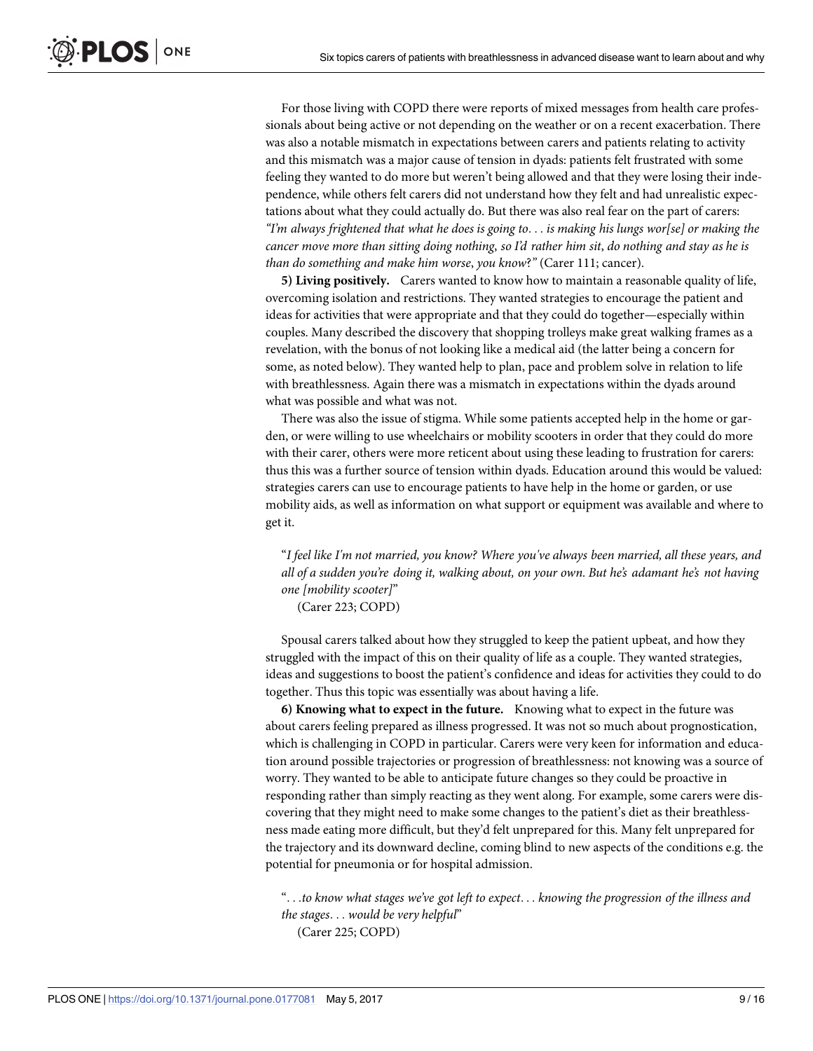For those living with COPD there were reports of mixed messages from health care professionals about being active or not depending on the weather or on a recent exacerbation. There was also a notable mismatch in expectations between carers and patients relating to activity and this mismatch was a major cause of tension in dyads: patients felt frustrated with some feeling they wanted to do more but weren't being allowed and that they were losing their independence, while others felt carers did not understand how they felt and had unrealistic expectations about what they could actually do. But there was also real fear on the part of carers: "I'm always frightened that what he does is going to. . . is making his lungs wor[se] or making the cancer move more than sitting doing nothing, so I'd rather him sit, do nothing and stay as he is *than do something and make him worse*, *you know*?*"* (Carer 111; cancer).

**5) Living positively.** Carers wanted to know how to maintain a reasonable quality of life, overcoming isolation and restrictions. They wanted strategies to encourage the patient and ideas for activities that were appropriate and that they could do together—especially within couples. Many described the discovery that shopping trolleys make great walking frames as a revelation, with the bonus of not looking like a medical aid (the latter being a concern for some, as noted below). They wanted help to plan, pace and problem solve in relation to life with breathlessness. Again there was a mismatch in expectations within the dyads around what was possible and what was not.

There was also the issue of stigma. While some patients accepted help in the home or garden, or were willing to use wheelchairs or mobility scooters in order that they could do more with their carer, others were more reticent about using these leading to frustration for carers: thus this was a further source of tension within dyads. Education around this would be valued: strategies carers can use to encourage patients to have help in the home or garden, or use mobility aids, as well as information on what support or equipment was available and where to get it.

"*I feel like I'm not married, you know? Where you've always been married, all these years, and all of a sudden you're doing it, walking about, on your own. But he's adamant he's not having one [mobility scooter]*"

(Carer 223; COPD)

Spousal carers talked about how they struggled to keep the patient upbeat, and how they struggled with the impact of this on their quality of life as a couple. They wanted strategies, ideas and suggestions to boost the patient's confidence and ideas for activities they could to do together. Thus this topic was essentially was about having a life.

**6) Knowing what to expect in the future.** Knowing what to expect in the future was about carers feeling prepared as illness progressed. It was not so much about prognostication, which is challenging in COPD in particular. Carers were very keen for information and education around possible trajectories or progression of breathlessness: not knowing was a source of worry. They wanted to be able to anticipate future changes so they could be proactive in responding rather than simply reacting as they went along. For example, some carers were discovering that they might need to make some changes to the patient's diet as their breathlessness made eating more difficult, but they'd felt unprepared for this. Many felt unprepared for the trajectory and its downward decline, coming blind to new aspects of the conditions e.g. the potential for pneumonia or for hospital admission.

". . .*to know what stages we've got left to expect*. . . *knowing the progression of the illness and the stages*. . . *would be very helpful*" (Carer 225; COPD)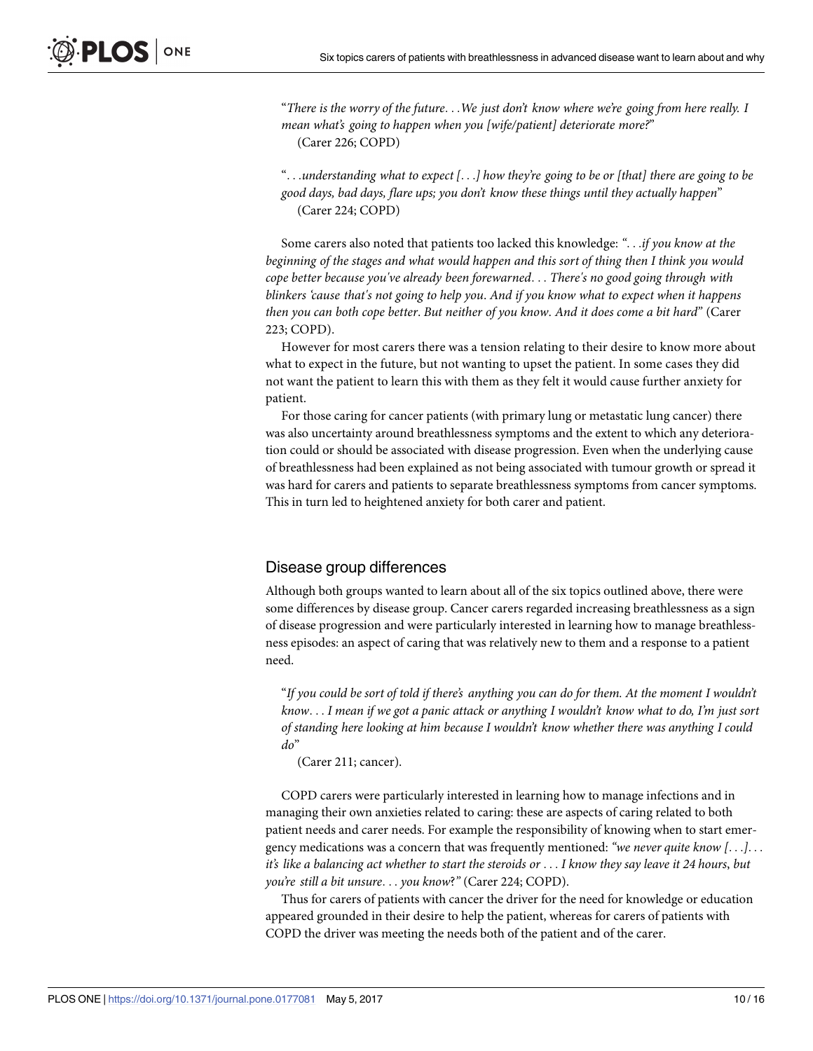"*There is the worry of the future*. . .*We just don't know where we're going from here really. I mean what's going to happen when you [wife/patient] deteriorate more?*" (Carer 226; COPD)

". . .*understanding what to expect [*. . .*] how they're going to be or [that] there are going to be good days, bad days, flare ups; you don't know these things until they actually happen*" (Carer 224; COPD)

Some carers also noted that patients too lacked this knowledge: *"*. . .*if you know at the beginning of the stages and what would happen and this sort of thing then I think you would cope better because you've already been forewarned*. . . *There's no good going through with blinkers 'cause that's not going to help you*. *And if you know what to expect when it happens then you can both cope better*. *But neither of you know*. *And it does come a bit hard"* (Carer 223; COPD).

However for most carers there was a tension relating to their desire to know more about what to expect in the future, but not wanting to upset the patient. In some cases they did not want the patient to learn this with them as they felt it would cause further anxiety for patient.

For those caring for cancer patients (with primary lung or metastatic lung cancer) there was also uncertainty around breathlessness symptoms and the extent to which any deterioration could or should be associated with disease progression. Even when the underlying cause of breathlessness had been explained as not being associated with tumour growth or spread it was hard for carers and patients to separate breathlessness symptoms from cancer symptoms. This in turn led to heightened anxiety for both carer and patient.

#### Disease group differences

Although both groups wanted to learn about all of the six topics outlined above, there were some differences by disease group. Cancer carers regarded increasing breathlessness as a sign of disease progression and were particularly interested in learning how to manage breathlessness episodes: an aspect of caring that was relatively new to them and a response to a patient need.

"If you could be sort of told if there's anything you can do for them. At the moment I wouldn't know...I mean if we got a panic attack or anything I wouldn't know what to do, I'm just sort *of standing here looking at him because I wouldn't know whether there was anything I could do*"

(Carer 211; cancer).

COPD carers were particularly interested in learning how to manage infections and in managing their own anxieties related to caring: these are aspects of caring related to both patient needs and carer needs. For example the responsibility of knowing when to start emergency medications was a concern that was frequently mentioned: *"we never quite know [*. . .*]*. . . it's like a balancing act whether to start the steroids or . . . I know they say leave it 24 hours, but *you're still a bit unsure*. . . *you know*?*"* (Carer 224; COPD).

Thus for carers of patients with cancer the driver for the need for knowledge or education appeared grounded in their desire to help the patient, whereas for carers of patients with COPD the driver was meeting the needs both of the patient and of the carer.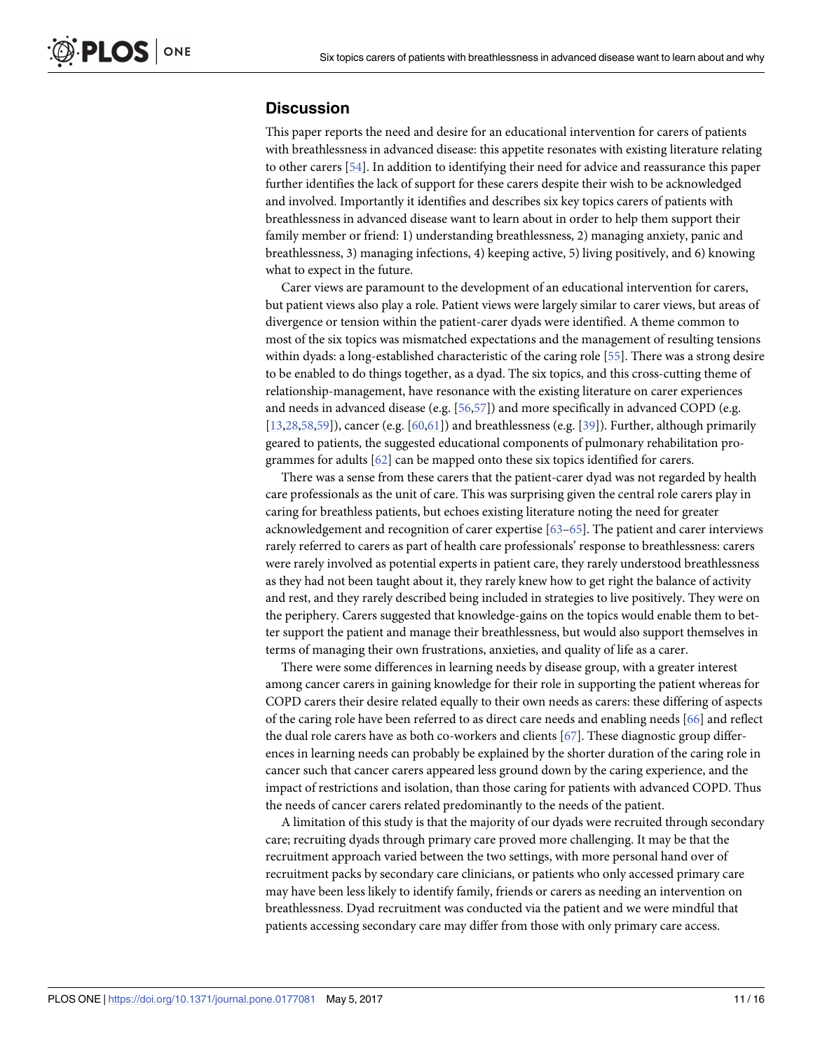### <span id="page-10-0"></span>**Discussion**

This paper reports the need and desire for an educational intervention for carers of patients with breathlessness in advanced disease: this appetite resonates with existing literature relating to other carers [\[54\]](#page-14-0). In addition to identifying their need for advice and reassurance this paper further identifies the lack of support for these carers despite their wish to be acknowledged and involved. Importantly it identifies and describes six key topics carers of patients with breathlessness in advanced disease want to learn about in order to help them support their family member or friend: 1) understanding breathlessness, 2) managing anxiety, panic and breathlessness, 3) managing infections, 4) keeping active, 5) living positively, and 6) knowing what to expect in the future.

Carer views are paramount to the development of an educational intervention for carers, but patient views also play a role. Patient views were largely similar to carer views, but areas of divergence or tension within the patient-carer dyads were identified. A theme common to most of the six topics was mismatched expectations and the management of resulting tensions within dyads: a long-established characteristic of the caring role [[55](#page-14-0)]. There was a strong desire to be enabled to do things together, as a dyad. The six topics, and this cross-cutting theme of relationship-management, have resonance with the existing literature on carer experiences and needs in advanced disease (e.g. [\[56,](#page-14-0)[57](#page-15-0)]) and more specifically in advanced COPD (e.g. [\[13](#page-12-0)[,28,](#page-13-0)[58](#page-15-0),[59](#page-15-0)]), cancer (e.g. [\[60,61\]](#page-15-0)) and breathlessness (e.g. [[39](#page-14-0)]). Further, although primarily geared to patients, the suggested educational components of pulmonary rehabilitation programmes for adults [[62](#page-15-0)] can be mapped onto these six topics identified for carers.

There was a sense from these carers that the patient-carer dyad was not regarded by health care professionals as the unit of care. This was surprising given the central role carers play in caring for breathless patients, but echoes existing literature noting the need for greater acknowledgement and recognition of carer expertise [\[63–65\]](#page-15-0). The patient and carer interviews rarely referred to carers as part of health care professionals' response to breathlessness: carers were rarely involved as potential experts in patient care, they rarely understood breathlessness as they had not been taught about it, they rarely knew how to get right the balance of activity and rest, and they rarely described being included in strategies to live positively. They were on the periphery. Carers suggested that knowledge-gains on the topics would enable them to better support the patient and manage their breathlessness, but would also support themselves in terms of managing their own frustrations, anxieties, and quality of life as a carer.

There were some differences in learning needs by disease group, with a greater interest among cancer carers in gaining knowledge for their role in supporting the patient whereas for COPD carers their desire related equally to their own needs as carers: these differing of aspects of the caring role have been referred to as direct care needs and enabling needs [[66](#page-15-0)] and reflect the dual role carers have as both co-workers and clients [\[67\]](#page-15-0). These diagnostic group differences in learning needs can probably be explained by the shorter duration of the caring role in cancer such that cancer carers appeared less ground down by the caring experience, and the impact of restrictions and isolation, than those caring for patients with advanced COPD. Thus the needs of cancer carers related predominantly to the needs of the patient.

A limitation of this study is that the majority of our dyads were recruited through secondary care; recruiting dyads through primary care proved more challenging. It may be that the recruitment approach varied between the two settings, with more personal hand over of recruitment packs by secondary care clinicians, or patients who only accessed primary care may have been less likely to identify family, friends or carers as needing an intervention on breathlessness. Dyad recruitment was conducted via the patient and we were mindful that patients accessing secondary care may differ from those with only primary care access.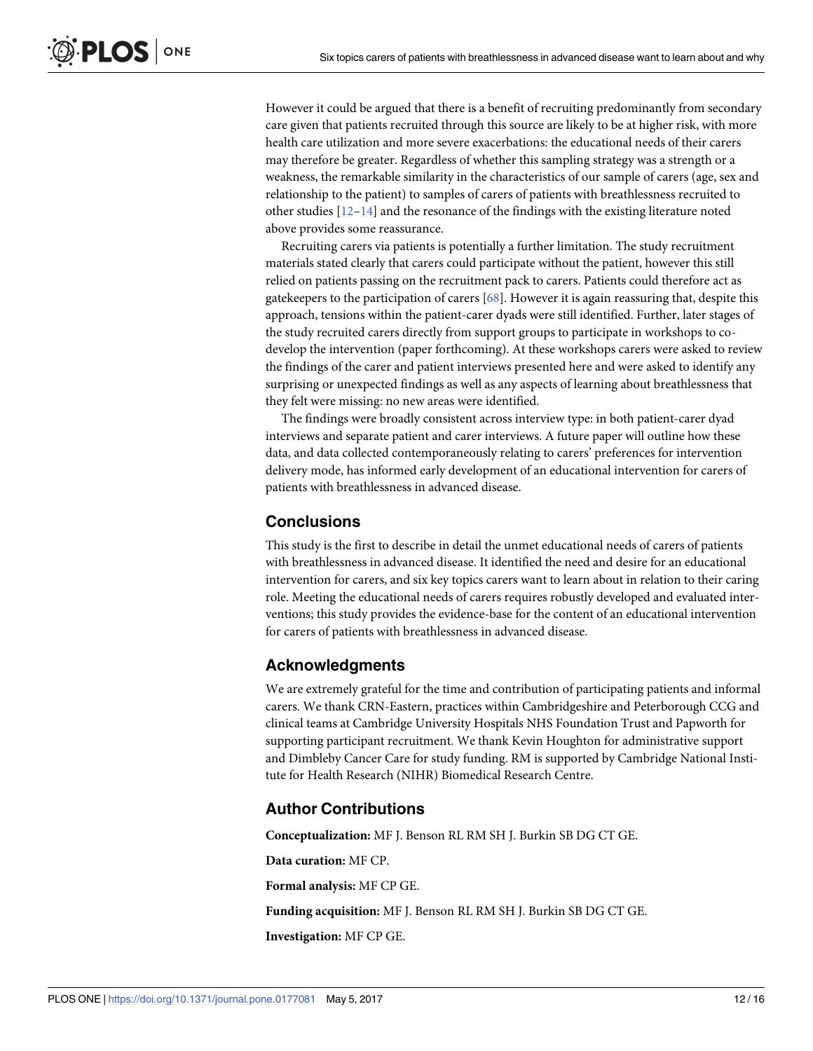<span id="page-11-0"></span>However it could be argued that there is a benefit of recruiting predominantly from secondary care given that patients recruited through this source are likely to be at higher risk, with more health care utilization and more severe exacerbations: the educational needs of their carers may therefore be greater. Regardless of whether this sampling strategy was a strength or a weakness, the remarkable similarity in the characteristics of our sample of carers (age, sex and relationship to the patient) to samples of carers of patients with breathlessness recruited to other studies [[12–14\]](#page-12-0) and the resonance of the findings with the existing literature noted above provides some reassurance.

Recruiting carers via patients is potentially a further limitation. The study recruitment materials stated clearly that carers could participate without the patient, however this still relied on patients passing on the recruitment pack to carers. Patients could therefore act as gatekeepers to the participation of carers [[68](#page-15-0)]. However it is again reassuring that, despite this approach, tensions within the patient-carer dyads were still identified. Further, later stages of the study recruited carers directly from support groups to participate in workshops to codevelop the intervention (paper forthcoming). At these workshops carers were asked to review the findings of the carer and patient interviews presented here and were asked to identify any surprising or unexpected findings as well as any aspects of learning about breathlessness that they felt were missing: no new areas were identified.

The findings were broadly consistent across interview type: in both patient-carer dyad interviews and separate patient and carer interviews. A future paper will outline how these data, and data collected contemporaneously relating to carers' preferences for intervention delivery mode, has informed early development of an educational intervention for carers of patients with breathlessness in advanced disease.

## **Conclusions**

This study is the first to describe in detail the unmet educational needs of carers of patients with breathlessness in advanced disease. It identified the need and desire for an educational intervention for carers, and six key topics carers want to learn about in relation to their caring role. Meeting the educational needs of carers requires robustly developed and evaluated interventions; this study provides the evidence-base for the content of an educational intervention for carers of patients with breathlessness in advanced disease.

## **Acknowledgments**

We are extremely grateful for the time and contribution of participating patients and informal carers. We thank CRN-Eastern, practices within Cambridgeshire and Peterborough CCG and clinical teams at Cambridge University Hospitals NHS Foundation Trust and Papworth for supporting participant recruitment. We thank Kevin Houghton for administrative support and Dimbleby Cancer Care for study funding. RM is supported by Cambridge National Institute for Health Research (NIHR) Biomedical Research Centre.

## **Author Contributions**

**Conceptualization:** MF J. Benson RL RM SH J. Burkin SB DG CT GE. **Data curation:** MF CP. **Formal analysis:** MF CP GE. **Funding acquisition:** MF J. Benson RL RM SH J. Burkin SB DG CT GE. **Investigation:** MF CP GE.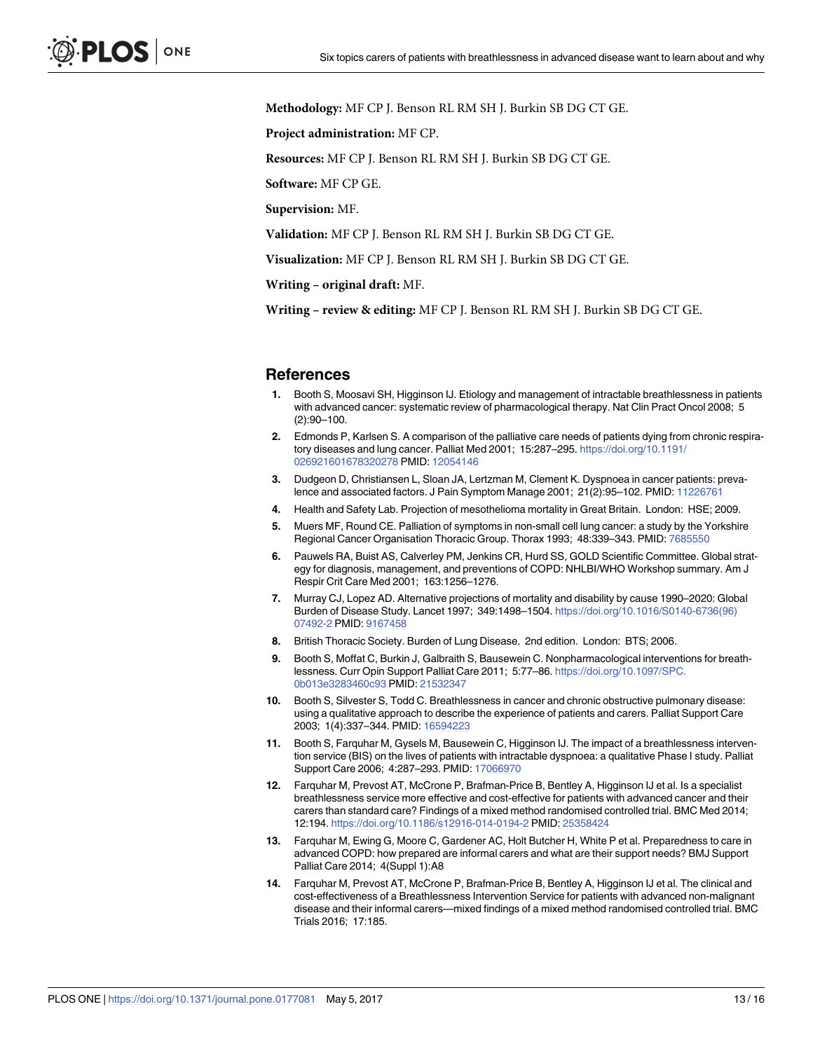<span id="page-12-0"></span>**Methodology:** MF CP J. Benson RL RM SH J. Burkin SB DG CT GE.

**Project administration:** MF CP.

**Resources:** MF CP J. Benson RL RM SH J. Burkin SB DG CT GE.

**Software:** MF CP GE.

**Supervision:** MF.

**Validation:** MF CP J. Benson RL RM SH J. Burkin SB DG CT GE.

**Visualization:** MF CP J. Benson RL RM SH J. Burkin SB DG CT GE.

**Writing – original draft:** MF.

**Writing – review & editing:** MF CP J. Benson RL RM SH J. Burkin SB DG CT GE.

#### **References**

- **[1](#page-1-0).** Booth S, Moosavi SH, Higginson IJ. Etiology and management of intractable breathlessness in patients with advanced cancer: systematic review of pharmacological therapy. Nat Clin Pract Oncol 2008; 5 (2):90–100.
- **[2](#page-1-0).** Edmonds P, Karlsen S. A comparison of the palliative care needs of patients dying from chronic respiratory diseases and lung cancer. Palliat Med 2001; 15:287–295. [https://doi.org/10.1191/](https://doi.org/10.1191/026921601678320278) [026921601678320278](https://doi.org/10.1191/026921601678320278) PMID: [12054146](http://www.ncbi.nlm.nih.gov/pubmed/12054146)
- **[3](#page-1-0).** Dudgeon D, Christiansen L, Sloan JA, Lertzman M, Clement K. Dyspnoea in cancer patients: prevalence and associated factors. J Pain Symptom Manage 2001; 21(2):95–102. PMID: [11226761](http://www.ncbi.nlm.nih.gov/pubmed/11226761)
- **[4](#page-1-0).** Health and Safety Lab. Projection of mesothelioma mortality in Great Britain. London: HSE; 2009.
- **[5](#page-1-0).** Muers MF, Round CE. Palliation of symptoms in non-small cell lung cancer: a study by the Yorkshire Regional Cancer Organisation Thoracic Group. Thorax 1993; 48:339–343. PMID: [7685550](http://www.ncbi.nlm.nih.gov/pubmed/7685550)
- **[6](#page-1-0).** Pauwels RA, Buist AS, Calverley PM, Jenkins CR, Hurd SS, GOLD Scientific Committee. Global strategy for diagnosis, management, and preventions of COPD: NHLBI/WHO Workshop summary. Am J Respir Crit Care Med 2001; 163:1256–1276.
- **[7](#page-1-0).** Murray CJ, Lopez AD. Alternative projections of mortality and disability by cause 1990–2020: Global Burden of Disease Study. Lancet 1997; 349:1498–1504. [https://doi.org/10.1016/S0140-6736\(96\)](https://doi.org/10.1016/S0140-6736(96)07492-2) [07492-2](https://doi.org/10.1016/S0140-6736(96)07492-2) PMID: [9167458](http://www.ncbi.nlm.nih.gov/pubmed/9167458)
- **[8](#page-1-0).** British Thoracic Society. Burden of Lung Disease. 2nd edition. London: BTS; 2006.
- **[9](#page-1-0).** Booth S, Moffat C, Burkin J, Galbraith S, Bausewein C. Nonpharmacological interventions for breathlessness. Curr Opin Support Palliat Care 2011; 5:77–86. [https://doi.org/10.1097/SPC.](https://doi.org/10.1097/SPC.0b013e3283460c93) [0b013e3283460c93](https://doi.org/10.1097/SPC.0b013e3283460c93) PMID: [21532347](http://www.ncbi.nlm.nih.gov/pubmed/21532347)
- **[10](#page-1-0).** Booth S, Silvester S, Todd C. Breathlessness in cancer and chronic obstructive pulmonary disease: using a qualitative approach to describe the experience of patients and carers. Palliat Support Care 2003; 1(4):337–344. PMID: [16594223](http://www.ncbi.nlm.nih.gov/pubmed/16594223)
- **[11](#page-1-0).** Booth S, Farquhar M, Gysels M, Bausewein C, Higginson IJ. The impact of a breathlessness intervention service (BIS) on the lives of patients with intractable dyspnoea: a qualitative Phase I study. Palliat Support Care 2006; 4:287–293. PMID: [17066970](http://www.ncbi.nlm.nih.gov/pubmed/17066970)
- **[12](#page-1-0).** Farquhar M, Prevost AT, McCrone P, Brafman-Price B, Bentley A, Higginson IJ et al. Is a specialist breathlessness service more effective and cost-effective for patients with advanced cancer and their carers than standard care? Findings of a mixed method randomised controlled trial. BMC Med 2014; 12:194. <https://doi.org/10.1186/s12916-014-0194-2> PMID: [25358424](http://www.ncbi.nlm.nih.gov/pubmed/25358424)
- **[13](#page-1-0).** Farquhar M, Ewing G, Moore C, Gardener AC, Holt Butcher H, White P et al. Preparedness to care in advanced COPD: how prepared are informal carers and what are their support needs? BMJ Support Palliat Care 2014; 4(Suppl 1):A8
- **[14](#page-1-0).** Farquhar M, Prevost AT, McCrone P, Brafman-Price B, Bentley A, Higginson IJ et al. The clinical and cost-effectiveness of a Breathlessness Intervention Service for patients with advanced non-malignant disease and their informal carers—mixed findings of a mixed method randomised controlled trial. BMC Trials 2016; 17:185.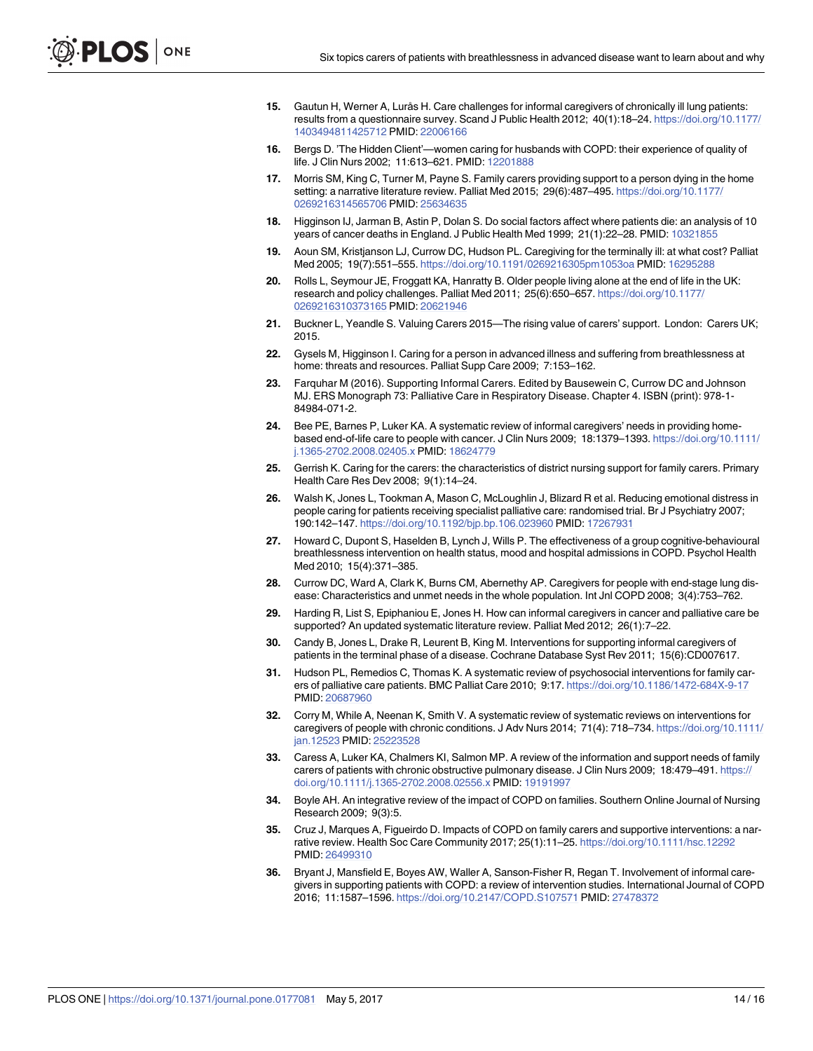- <span id="page-13-0"></span>**[15](#page-1-0).** Gautun H, Werner A, Lurås H. Care challenges for informal caregivers of chronically ill lung patients: results from a questionnaire survey. Scand J Public Health 2012; 40(1):18–24. [https://doi.org/10.1177/](https://doi.org/10.1177/1403494811425712) [1403494811425712](https://doi.org/10.1177/1403494811425712) PMID: [22006166](http://www.ncbi.nlm.nih.gov/pubmed/22006166)
- **[16](#page-1-0).** Bergs D. 'The Hidden Client'—women caring for husbands with COPD: their experience of quality of life. J Clin Nurs 2002; 11:613–621. PMID: [12201888](http://www.ncbi.nlm.nih.gov/pubmed/12201888)
- **[17](#page-1-0).** Morris SM, King C, Turner M, Payne S. Family carers providing support to a person dying in the home setting: a narrative literature review. Palliat Med 2015; 29(6):487–495. [https://doi.org/10.1177/](https://doi.org/10.1177/0269216314565706) [0269216314565706](https://doi.org/10.1177/0269216314565706) PMID: [25634635](http://www.ncbi.nlm.nih.gov/pubmed/25634635)
- **[18](#page-1-0).** Higginson IJ, Jarman B, Astin P, Dolan S. Do social factors affect where patients die: an analysis of 10 years of cancer deaths in England. J Public Health Med 1999; 21(1):22–28. PMID: [10321855](http://www.ncbi.nlm.nih.gov/pubmed/10321855)
- **19.** Aoun SM, Kristjanson LJ, Currow DC, Hudson PL. Caregiving for the terminally ill: at what cost? Palliat Med 2005; 19(7):551–555. <https://doi.org/10.1191/0269216305pm1053oa> PMID: [16295288](http://www.ncbi.nlm.nih.gov/pubmed/16295288)
- **[20](#page-1-0).** Rolls L, Seymour JE, Froggatt KA, Hanratty B. Older people living alone at the end of life in the UK: research and policy challenges. Palliat Med 2011; 25(6):650–657. [https://doi.org/10.1177/](https://doi.org/10.1177/0269216310373165) [0269216310373165](https://doi.org/10.1177/0269216310373165) PMID: [20621946](http://www.ncbi.nlm.nih.gov/pubmed/20621946)
- **[21](#page-1-0).** Buckner L, Yeandle S. Valuing Carers 2015—The rising value of carers' support. London: Carers UK; 2015.
- **[22](#page-1-0).** Gysels M, Higginson I. Caring for a person in advanced illness and suffering from breathlessness at home: threats and resources. Palliat Supp Care 2009; 7:153–162.
- **[23](#page-1-0).** Farquhar M (2016). Supporting Informal Carers. Edited by Bausewein C, Currow DC and Johnson MJ. ERS Monograph 73: Palliative Care in Respiratory Disease. Chapter 4. ISBN (print): 978-1- 84984-071-2.
- **[24](#page-1-0).** Bee PE, Barnes P, Luker KA. A systematic review of informal caregivers' needs in providing homebased end-of-life care to people with cancer. J Clin Nurs 2009; 18:1379–1393. [https://doi.org/10.1111/](https://doi.org/10.1111/j.1365-2702.2008.02405.x) [j.1365-2702.2008.02405.x](https://doi.org/10.1111/j.1365-2702.2008.02405.x) PMID: [18624779](http://www.ncbi.nlm.nih.gov/pubmed/18624779)
- **[25](#page-1-0).** Gerrish K. Caring for the carers: the characteristics of district nursing support for family carers. Primary Health Care Res Dev 2008; 9(1):14–24.
- **[26](#page-1-0).** Walsh K, Jones L, Tookman A, Mason C, McLoughlin J, Blizard R et al. Reducing emotional distress in people caring for patients receiving specialist palliative care: randomised trial. Br J Psychiatry 2007; 190:142–147. <https://doi.org/10.1192/bjp.bp.106.023960> PMID: [17267931](http://www.ncbi.nlm.nih.gov/pubmed/17267931)
- **[27](#page-2-0).** Howard C, Dupont S, Haselden B, Lynch J, Wills P. The effectiveness of a group cognitive-behavioural breathlessness intervention on health status, mood and hospital admissions in COPD. Psychol Health Med 2010; 15(4):371–385.
- **[28](#page-2-0).** Currow DC, Ward A, Clark K, Burns CM, Abernethy AP. Caregivers for people with end-stage lung disease: Characteristics and unmet needs in the whole population. Int Jnl COPD 2008; 3(4):753–762.
- **[29](#page-2-0).** Harding R, List S, Epiphaniou E, Jones H. How can informal caregivers in cancer and palliative care be supported? An updated systematic literature review. Palliat Med 2012; 26(1):7–22.
- **[30](#page-2-0).** Candy B, Jones L, Drake R, Leurent B, King M. Interventions for supporting informal caregivers of patients in the terminal phase of a disease. Cochrane Database Syst Rev 2011; 15(6):CD007617.
- **[31](#page-2-0).** Hudson PL, Remedios C, Thomas K. A systematic review of psychosocial interventions for family carers of palliative care patients. BMC Palliat Care 2010; 9:17. <https://doi.org/10.1186/1472-684X-9-17> PMID: [20687960](http://www.ncbi.nlm.nih.gov/pubmed/20687960)
- **[32](#page-2-0).** Corry M, While A, Neenan K, Smith V. A systematic review of systematic reviews on interventions for caregivers of people with chronic conditions. J Adv Nurs 2014; 71(4): 718–734. [https://doi.org/10.1111/](https://doi.org/10.1111/jan.12523) [jan.12523](https://doi.org/10.1111/jan.12523) PMID: [25223528](http://www.ncbi.nlm.nih.gov/pubmed/25223528)
- **[33](#page-2-0).** Caress A, Luker KA, Chalmers KI, Salmon MP. A review of the information and support needs of family carers of patients with chronic obstructive pulmonary disease. J Clin Nurs 2009; 18:479–491. [https://](https://doi.org/10.1111/j.1365-2702.2008.02556.x) [doi.org/10.1111/j.1365-2702.2008.02556.x](https://doi.org/10.1111/j.1365-2702.2008.02556.x) PMID: [19191997](http://www.ncbi.nlm.nih.gov/pubmed/19191997)
- **34.** Boyle AH. An integrative review of the impact of COPD on families. Southern Online Journal of Nursing Research 2009; 9(3):5.
- **35.** Cruz J, Marques A, Figueirdo D. Impacts of COPD on family carers and supportive interventions: a narrative review. Health Soc Care Community 2017; 25(1):11–25. <https://doi.org/10.1111/hsc.12292> PMID: [26499310](http://www.ncbi.nlm.nih.gov/pubmed/26499310)
- **36.** Bryant J, Mansfield E, Boyes AW, Waller A, Sanson-Fisher R, Regan T. Involvement of informal caregivers in supporting patients with COPD: a review of intervention studies. International Journal of COPD 2016; 11:1587–1596. <https://doi.org/10.2147/COPD.S107571> PMID: [27478372](http://www.ncbi.nlm.nih.gov/pubmed/27478372)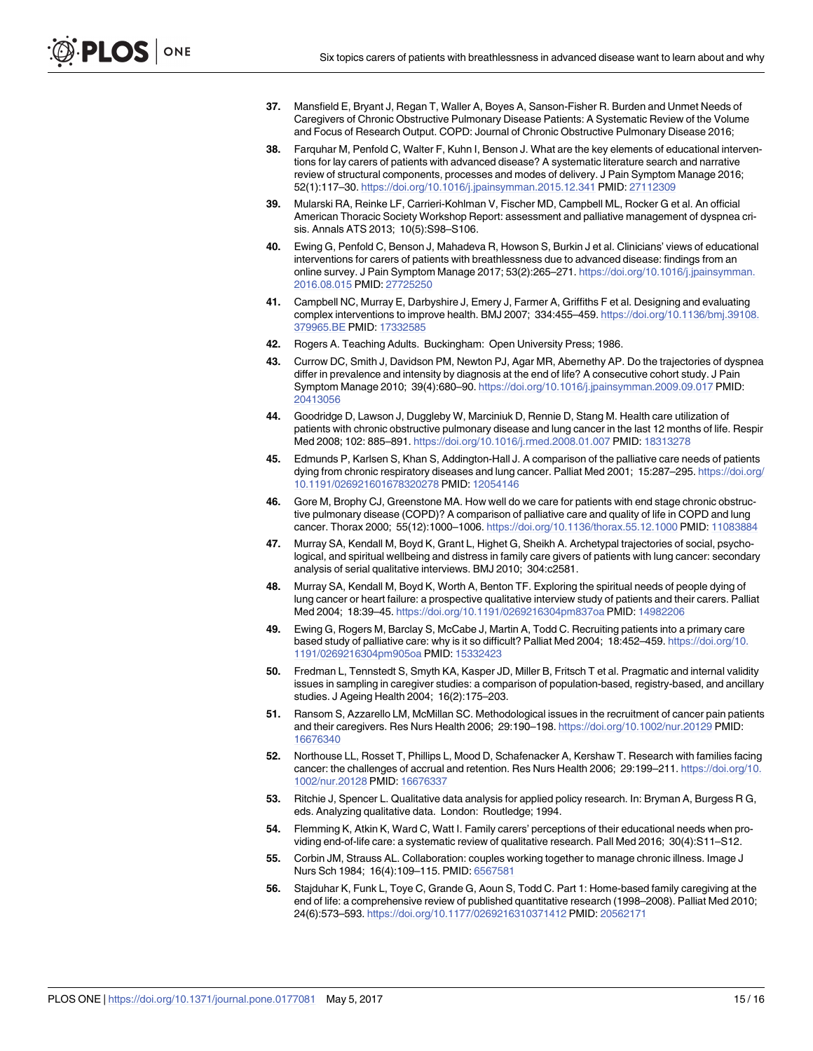- <span id="page-14-0"></span>**[37](#page-2-0).** Mansfield E, Bryant J, Regan T, Waller A, Boyes A, Sanson-Fisher R. Burden and Unmet Needs of Caregivers of Chronic Obstructive Pulmonary Disease Patients: A Systematic Review of the Volume and Focus of Research Output. COPD: Journal of Chronic Obstructive Pulmonary Disease 2016;
- **[38](#page-2-0).** Farquhar M, Penfold C, Walter F, Kuhn I, Benson J. What are the key elements of educational interventions for lay carers of patients with advanced disease? A systematic literature search and narrative review of structural components, processes and modes of delivery. J Pain Symptom Manage 2016; 52(1):117–30. <https://doi.org/10.1016/j.jpainsymman.2015.12.341> PMID: [27112309](http://www.ncbi.nlm.nih.gov/pubmed/27112309)
- **[39](#page-2-0).** Mularski RA, Reinke LF, Carrieri-Kohlman V, Fischer MD, Campbell ML, Rocker G et al. An official American Thoracic Society Workshop Report: assessment and palliative management of dyspnea crisis. Annals ATS 2013; 10(5):S98–S106.
- **[40](#page-2-0).** Ewing G, Penfold C, Benson J, Mahadeva R, Howson S, Burkin J et al. Clinicians' views of educational interventions for carers of patients with breathlessness due to advanced disease: findings from an online survey. J Pain Symptom Manage 2017; 53(2):265–271. [https://doi.org/10.1016/j.jpainsymman.](https://doi.org/10.1016/j.jpainsymman.2016.08.015) [2016.08.015](https://doi.org/10.1016/j.jpainsymman.2016.08.015) PMID: [27725250](http://www.ncbi.nlm.nih.gov/pubmed/27725250)
- **[41](#page-2-0).** Campbell NC, Murray E, Darbyshire J, Emery J, Farmer A, Griffiths F et al. Designing and evaluating complex interventions to improve health. BMJ 2007; 334:455–459. [https://doi.org/10.1136/bmj.39108.](https://doi.org/10.1136/bmj.39108.379965.BE) [379965.BE](https://doi.org/10.1136/bmj.39108.379965.BE) PMID: [17332585](http://www.ncbi.nlm.nih.gov/pubmed/17332585)
- **[42](#page-2-0).** Rogers A. Teaching Adults. Buckingham: Open University Press; 1986.
- **[43](#page-2-0).** Currow DC, Smith J, Davidson PM, Newton PJ, Agar MR, Abernethy AP. Do the trajectories of dyspnea differ in prevalence and intensity by diagnosis at the end of life? A consecutive cohort study. J Pain Symptom Manage 2010; 39(4):680–90. <https://doi.org/10.1016/j.jpainsymman.2009.09.017> PMID: [20413056](http://www.ncbi.nlm.nih.gov/pubmed/20413056)
- **[44](#page-2-0).** Goodridge D, Lawson J, Duggleby W, Marciniuk D, Rennie D, Stang M. Health care utilization of patients with chronic obstructive pulmonary disease and lung cancer in the last 12 months of life. Respir Med 2008; 102: 885–891. <https://doi.org/10.1016/j.rmed.2008.01.007> PMID: [18313278](http://www.ncbi.nlm.nih.gov/pubmed/18313278)
- **45.** Edmunds P, Karlsen S, Khan S, Addington-Hall J. A comparison of the palliative care needs of patients dying from chronic respiratory diseases and lung cancer. Palliat Med 2001; 15:287–295. [https://doi.org/](https://doi.org/10.1191/026921601678320278) [10.1191/026921601678320278](https://doi.org/10.1191/026921601678320278) PMID: [12054146](http://www.ncbi.nlm.nih.gov/pubmed/12054146)
- **[46](#page-2-0).** Gore M, Brophy CJ, Greenstone MA. How well do we care for patients with end stage chronic obstructive pulmonary disease (COPD)? A comparison of palliative care and quality of life in COPD and lung cancer. Thorax 2000; 55(12):1000–1006. <https://doi.org/10.1136/thorax.55.12.1000> PMID: [11083884](http://www.ncbi.nlm.nih.gov/pubmed/11083884)
- **[47](#page-2-0).** Murray SA, Kendall M, Boyd K, Grant L, Highet G, Sheikh A. Archetypal trajectories of social, psychological, and spiritual wellbeing and distress in family care givers of patients with lung cancer: secondary analysis of serial qualitative interviews. BMJ 2010; 304:c2581.
- **[48](#page-2-0).** Murray SA, Kendall M, Boyd K, Worth A, Benton TF. Exploring the spiritual needs of people dying of lung cancer or heart failure: a prospective qualitative interview study of patients and their carers. Palliat Med 2004; 18:39–45. <https://doi.org/10.1191/0269216304pm837oa> PMID: [14982206](http://www.ncbi.nlm.nih.gov/pubmed/14982206)
- **[49](#page-3-0).** Ewing G, Rogers M, Barclay S, McCabe J, Martin A, Todd C. Recruiting patients into a primary care based study of palliative care: why is it so difficult? Palliat Med 2004; 18:452–459. [https://doi.org/10.](https://doi.org/10.1191/0269216304pm905oa) [1191/0269216304pm905oa](https://doi.org/10.1191/0269216304pm905oa) PMID: [15332423](http://www.ncbi.nlm.nih.gov/pubmed/15332423)
- **[50](#page-3-0).** Fredman L, Tennstedt S, Smyth KA, Kasper JD, Miller B, Fritsch T et al. Pragmatic and internal validity issues in sampling in caregiver studies: a comparison of population-based, registry-based, and ancillary studies. J Ageing Health 2004; 16(2):175–203.
- **51.** Ransom S, Azzarello LM, McMillan SC. Methodological issues in the recruitment of cancer pain patients and their caregivers. Res Nurs Health 2006; 29:190–198. <https://doi.org/10.1002/nur.20129> PMID: [16676340](http://www.ncbi.nlm.nih.gov/pubmed/16676340)
- **[52](#page-3-0).** Northouse LL, Rosset T, Phillips L, Mood D, Schafenacker A, Kershaw T. Research with families facing cancer: the challenges of accrual and retention. Res Nurs Health 2006; 29:199–211. [https://doi.org/10.](https://doi.org/10.1002/nur.20128) [1002/nur.20128](https://doi.org/10.1002/nur.20128) PMID: [16676337](http://www.ncbi.nlm.nih.gov/pubmed/16676337)
- **[53](#page-4-0).** Ritchie J, Spencer L. Qualitative data analysis for applied policy research. In: Bryman A, Burgess R G, eds. Analyzing qualitative data. London: Routledge; 1994.
- **[54](#page-10-0).** Flemming K, Atkin K, Ward C, Watt I. Family carers' perceptions of their educational needs when providing end-of-life care: a systematic review of qualitative research. Pall Med 2016; 30(4):S11–S12.
- **[55](#page-10-0).** Corbin JM, Strauss AL. Collaboration: couples working together to manage chronic illness. Image J Nurs Sch 1984; 16(4):109–115. PMID: [6567581](http://www.ncbi.nlm.nih.gov/pubmed/6567581)
- **[56](#page-10-0).** Stajduhar K, Funk L, Toye C, Grande G, Aoun S, Todd C. Part 1: Home-based family caregiving at the end of life: a comprehensive review of published quantitative research (1998–2008). Palliat Med 2010; 24(6):573–593. <https://doi.org/10.1177/0269216310371412> PMID: [20562171](http://www.ncbi.nlm.nih.gov/pubmed/20562171)